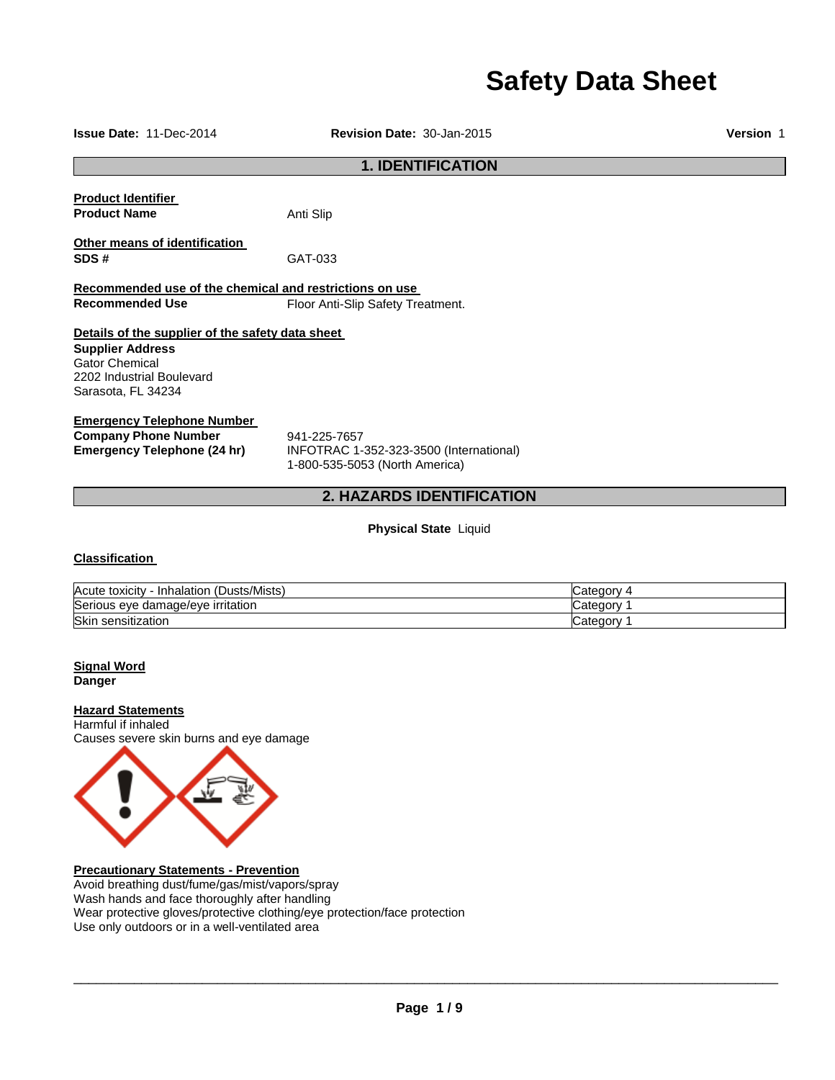# **Safety Data Sheet**

| <b>Issue Date: 11-Dec-2014</b>                                                                                                                          | Version 1                                                                                 |                                        |  |  |
|---------------------------------------------------------------------------------------------------------------------------------------------------------|-------------------------------------------------------------------------------------------|----------------------------------------|--|--|
| <b>1. IDENTIFICATION</b>                                                                                                                                |                                                                                           |                                        |  |  |
| <b>Product Identifier</b><br><b>Product Name</b>                                                                                                        | Anti Slip                                                                                 |                                        |  |  |
| Other means of identification<br>SDS#                                                                                                                   | GAT-033                                                                                   |                                        |  |  |
| Recommended use of the chemical and restrictions on use<br><b>Recommended Use</b>                                                                       | Floor Anti-Slip Safety Treatment.                                                         |                                        |  |  |
| Details of the supplier of the safety data sheet<br><b>Supplier Address</b><br><b>Gator Chemical</b><br>2202 Industrial Boulevard<br>Sarasota, FL 34234 |                                                                                           |                                        |  |  |
| <b>Emergency Telephone Number</b><br><b>Company Phone Number</b><br><b>Emergency Telephone (24 hr)</b>                                                  | 941-225-7657<br>INFOTRAC 1-352-323-3500 (International)<br>1-800-535-5053 (North America) |                                        |  |  |
|                                                                                                                                                         | 2. HAZARDS IDENTIFICATION                                                                 |                                        |  |  |
|                                                                                                                                                         | <b>Physical State Liquid</b>                                                              |                                        |  |  |
| <b>Classification</b>                                                                                                                                   |                                                                                           |                                        |  |  |
| Acute toxicity - Inhalation (Dusts/Mists)<br>Serious eye damage/eye irritation<br>Skin sensitization                                                    |                                                                                           | Category 4<br>Category 1<br>Category 1 |  |  |
| <b>Signal Word</b><br><b>Danger</b>                                                                                                                     |                                                                                           |                                        |  |  |
| <b>Hazard Statements</b><br>Harmful if inhaled<br>Causes severe skin burns and eye damage                                                               |                                                                                           |                                        |  |  |



**Precautionary Statements - Prevention** Avoid breathing dust/fume/gas/mist/vapors/spray

Wash hands and face thoroughly after handling Wear protective gloves/protective clothing/eye protection/face protection Use only outdoors or in a well-ventilated area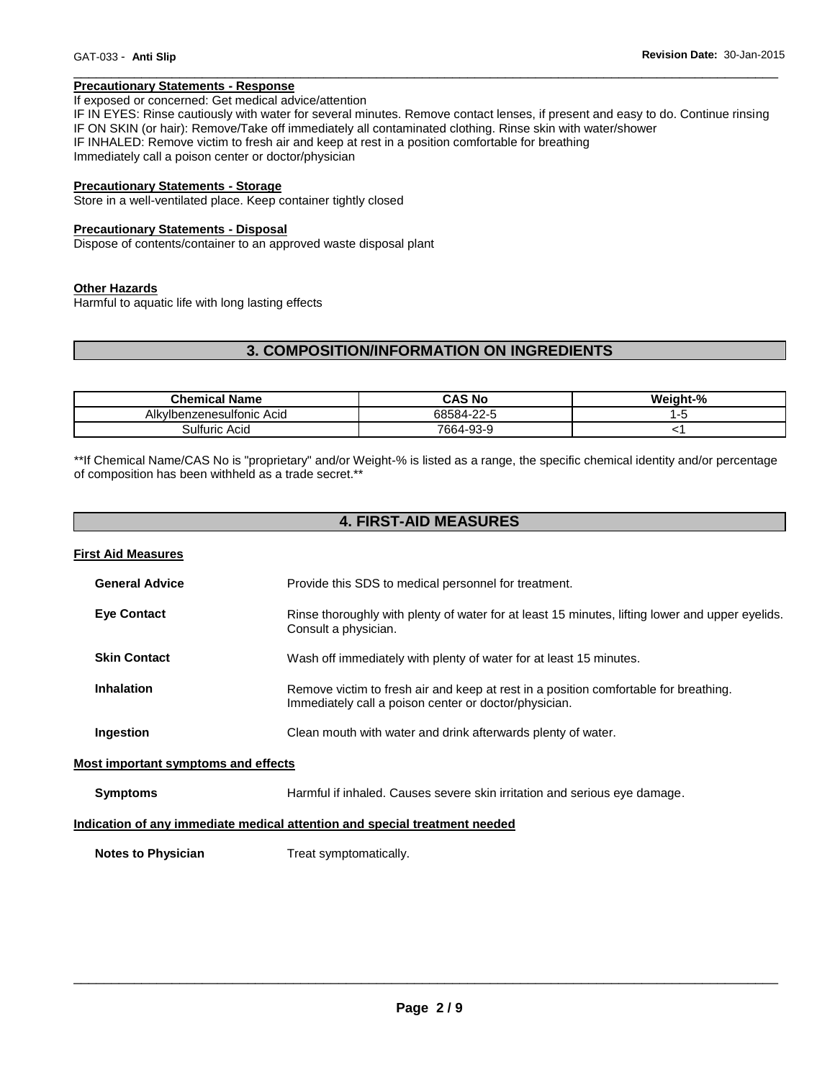#### **Precautionary Statements - Response**

#### If exposed or concerned: Get medical advice/attention

IF IN EYES: Rinse cautiously with water for several minutes. Remove contact lenses, if present and easy to do. Continue rinsing IF ON SKIN (or hair): Remove/Take off immediately all contaminated clothing. Rinse skin with water/shower IF INHALED: Remove victim to fresh air and keep at rest in a position comfortable for breathing Immediately call a poison center or doctor/physician

\_\_\_\_\_\_\_\_\_\_\_\_\_\_\_\_\_\_\_\_\_\_\_\_\_\_\_\_\_\_\_\_\_\_\_\_\_\_\_\_\_\_\_\_\_\_\_\_\_\_\_\_\_\_\_\_\_\_\_\_\_\_\_\_\_\_\_\_\_\_\_\_\_\_\_\_\_\_\_\_\_\_\_\_\_\_\_\_\_\_\_\_\_

#### **Precautionary Statements - Storage**

Store in a well-ventilated place. Keep container tightly closed

#### **Precautionary Statements - Disposal**

Dispose of contents/container to an approved waste disposal plant

#### **Other Hazards**

Harmful to aquatic life with long lasting effects

# **3. COMPOSITION/INFORMATION ON INGREDIENTS**

| ડhemical Name                  | CAS No                          | Weiaht-% |
|--------------------------------|---------------------------------|----------|
| Alkvll<br>benzenesulfonic Acid | $\cap$ $\cap$<br>68584<br>-22-5 |          |
| Sulturic<br>Acid               | 7664-93-9                       |          |

\*\*If Chemical Name/CAS No is "proprietary" and/or Weight-% is listed as a range, the specific chemical identity and/or percentage of composition has been withheld as a trade secret.\*\*

# **4. FIRST-AID MEASURES**

| <b>First Aid Measures</b>                  |                                                                                                                                               |
|--------------------------------------------|-----------------------------------------------------------------------------------------------------------------------------------------------|
| <b>General Advice</b>                      | Provide this SDS to medical personnel for treatment.                                                                                          |
| <b>Eye Contact</b>                         | Rinse thoroughly with plenty of water for at least 15 minutes, lifting lower and upper eyelids.<br>Consult a physician.                       |
| <b>Skin Contact</b>                        | Wash off immediately with plenty of water for at least 15 minutes.                                                                            |
| <b>Inhalation</b>                          | Remove victim to fresh air and keep at rest in a position comfortable for breathing.<br>Immediately call a poison center or doctor/physician. |
| Ingestion                                  | Clean mouth with water and drink afterwards plenty of water.                                                                                  |
| <b>Most important symptoms and effects</b> |                                                                                                                                               |
| <b>Symptoms</b>                            | Harmful if inhaled. Causes severe skin irritation and serious eye damage.                                                                     |
|                                            | Indication of any immediate medical attention and special treatment needed                                                                    |
| <b>Notes to Physician</b>                  | Treat symptomatically.                                                                                                                        |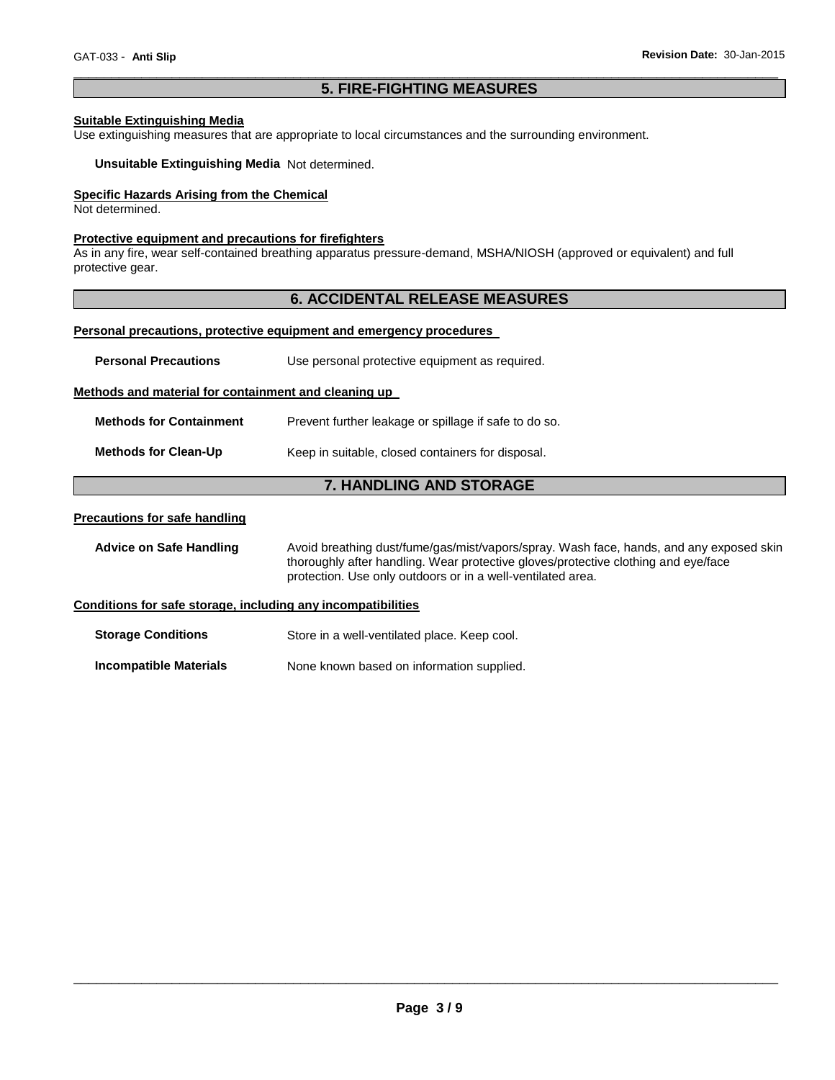# \_\_\_\_\_\_\_\_\_\_\_\_\_\_\_\_\_\_\_\_\_\_\_\_\_\_\_\_\_\_\_\_\_\_\_\_\_\_\_\_\_\_\_\_\_\_\_\_\_\_\_\_\_\_\_\_\_\_\_\_\_\_\_\_\_\_\_\_\_\_\_\_\_\_\_\_\_\_\_\_\_\_\_\_\_\_\_\_\_\_\_\_\_ **5. FIRE-FIGHTING MEASURES**

# **Suitable Extinguishing Media**

Use extinguishing measures that are appropriate to local circumstances and the surrounding environment.

**Unsuitable Extinguishing Media** Not determined.

# **Specific Hazards Arising from the Chemical**

Not determined.

# **Protective equipment and precautions for firefighters**

As in any fire, wear self-contained breathing apparatus pressure-demand, MSHA/NIOSH (approved or equivalent) and full protective gear.

# **6. ACCIDENTAL RELEASE MEASURES**

#### **Personal precautions, protective equipment and emergency procedures**

| <b>Personal Precautions</b>                                  | Use personal protective equipment as required.                                                                                                                                                                                               |  |  |  |
|--------------------------------------------------------------|----------------------------------------------------------------------------------------------------------------------------------------------------------------------------------------------------------------------------------------------|--|--|--|
| Methods and material for containment and cleaning up         |                                                                                                                                                                                                                                              |  |  |  |
| <b>Methods for Containment</b>                               | Prevent further leakage or spillage if safe to do so.                                                                                                                                                                                        |  |  |  |
| <b>Methods for Clean-Up</b>                                  | Keep in suitable, closed containers for disposal.                                                                                                                                                                                            |  |  |  |
| <b>7. HANDLING AND STORAGE</b>                               |                                                                                                                                                                                                                                              |  |  |  |
| <b>Precautions for safe handling</b>                         |                                                                                                                                                                                                                                              |  |  |  |
| <b>Advice on Safe Handling</b>                               | Avoid breathing dust/fume/gas/mist/vapors/spray. Wash face, hands, and any exposed skin<br>thoroughly after handling. Wear protective gloves/protective clothing and eye/face<br>protection. Use only outdoors or in a well-ventilated area. |  |  |  |
| Conditions for safe storage, including any incompatibilities |                                                                                                                                                                                                                                              |  |  |  |
| <b>Storage Conditions</b>                                    | Store in a well-ventilated place. Keep cool.                                                                                                                                                                                                 |  |  |  |
| Incompatible Materials                                       | None known based on information supplied.                                                                                                                                                                                                    |  |  |  |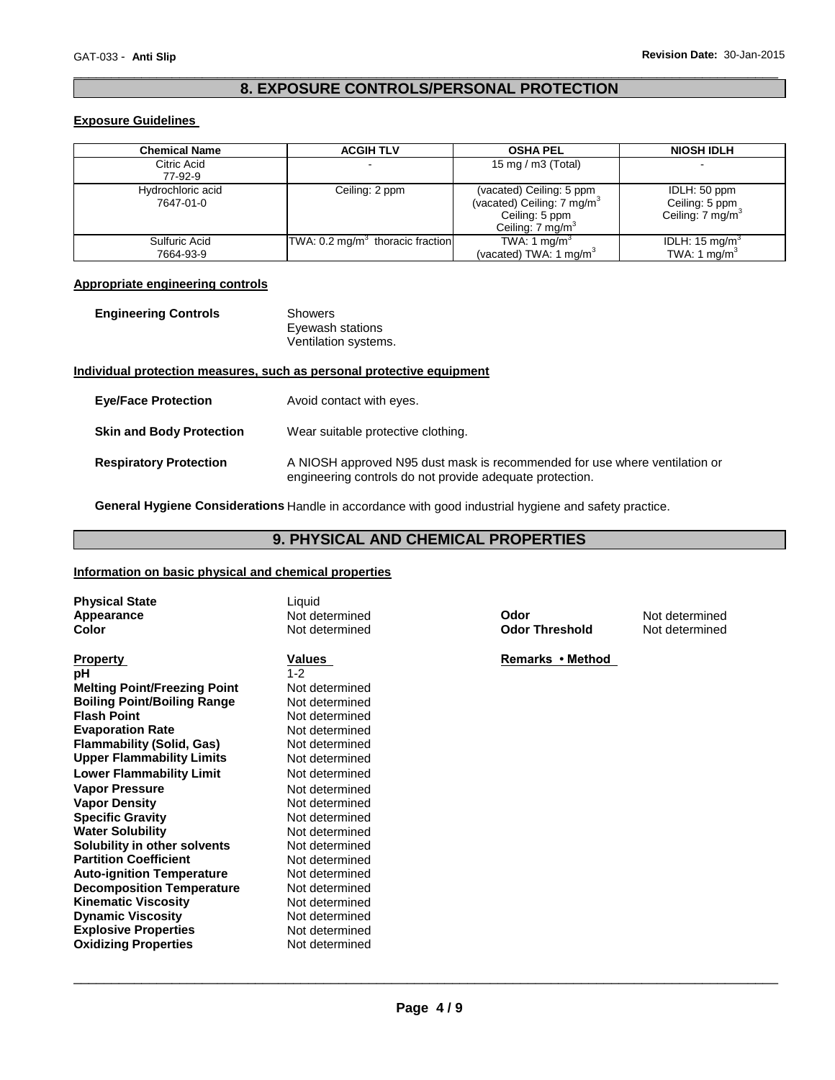# \_\_\_\_\_\_\_\_\_\_\_\_\_\_\_\_\_\_\_\_\_\_\_\_\_\_\_\_\_\_\_\_\_\_\_\_\_\_\_\_\_\_\_\_\_\_\_\_\_\_\_\_\_\_\_\_\_\_\_\_\_\_\_\_\_\_\_\_\_\_\_\_\_\_\_\_\_\_\_\_\_\_\_\_\_\_\_\_\_\_\_\_\_ **8. EXPOSURE CONTROLS/PERSONAL PROTECTION**

# **Exposure Guidelines**

| <b>Chemical Name</b>           | <b>ACGIH TLV</b>                             | <b>OSHA PEL</b>                                                                                            | <b>NIOSH IDLH</b>                                              |
|--------------------------------|----------------------------------------------|------------------------------------------------------------------------------------------------------------|----------------------------------------------------------------|
| Citric Acid<br>77-92-9         |                                              | 15 mg / m3 (Total)                                                                                         |                                                                |
| Hydrochloric acid<br>7647-01-0 | Ceiling: 2 ppm                               | (vacated) Ceiling: 5 ppm<br>(vacated) Ceiling: 7 mg/m $3$<br>Ceiling: 5 ppm<br>Ceiling: $7 \text{ mg/m}^3$ | IDLH: 50 ppm<br>Ceiling: 5 ppm<br>Ceiling: 7 mg/m <sup>3</sup> |
| Sulfuric Acid<br>7664-93-9     | TWA: 0.2 mg/m <sup>3</sup> thoracic fraction | TWA: 1 mg/m <sup>3</sup><br>(vacated) TWA: 1 mg/m <sup>3</sup>                                             | IDLH: $15 \text{ mg/m}^3$<br>TWA: 1 $mq/m3$                    |

# **Appropriate engineering controls**

| <b>Engineering Controls</b> | Showers              |
|-----------------------------|----------------------|
|                             | Eyewash stations     |
|                             | Ventilation systems. |

# **Individual protection measures, such as personal protective equipment**

| <b>Eve/Face Protection</b>      | Avoid contact with eyes.                                                                                                               |  |  |
|---------------------------------|----------------------------------------------------------------------------------------------------------------------------------------|--|--|
| <b>Skin and Body Protection</b> | Wear suitable protective clothing.                                                                                                     |  |  |
| <b>Respiratory Protection</b>   | A NIOSH approved N95 dust mask is recommended for use where ventilation or<br>engineering controls do not provide adequate protection. |  |  |

**General Hygiene Considerations** Handle in accordance with good industrial hygiene and safety practice.

# **9. PHYSICAL AND CHEMICAL PROPERTIES**

#### **Information on basic physical and chemical properties**

| <b>Physical State</b>               | Liquid         |                       |                |
|-------------------------------------|----------------|-----------------------|----------------|
| Appearance                          | Not determined | Odor                  | Not determined |
| Color                               | Not determined | <b>Odor Threshold</b> | Not determined |
|                                     |                |                       |                |
| <b>Property</b>                     | <b>Values</b>  | Remarks • Method      |                |
| рH                                  | $1 - 2$        |                       |                |
| <b>Melting Point/Freezing Point</b> | Not determined |                       |                |
| <b>Boiling Point/Boiling Range</b>  | Not determined |                       |                |
| <b>Flash Point</b>                  | Not determined |                       |                |
| <b>Evaporation Rate</b>             | Not determined |                       |                |
| Flammability (Solid, Gas)           | Not determined |                       |                |
| <b>Upper Flammability Limits</b>    | Not determined |                       |                |
| <b>Lower Flammability Limit</b>     | Not determined |                       |                |
| <b>Vapor Pressure</b>               | Not determined |                       |                |
| <b>Vapor Density</b>                | Not determined |                       |                |
| <b>Specific Gravity</b>             | Not determined |                       |                |
| <b>Water Solubility</b>             | Not determined |                       |                |
| Solubility in other solvents        | Not determined |                       |                |
| <b>Partition Coefficient</b>        | Not determined |                       |                |
| <b>Auto-ignition Temperature</b>    | Not determined |                       |                |
| <b>Decomposition Temperature</b>    | Not determined |                       |                |
| <b>Kinematic Viscosity</b>          | Not determined |                       |                |
| <b>Dynamic Viscosity</b>            | Not determined |                       |                |
| <b>Explosive Properties</b>         | Not determined |                       |                |
| <b>Oxidizing Properties</b>         | Not determined |                       |                |
|                                     |                |                       |                |
|                                     |                |                       |                |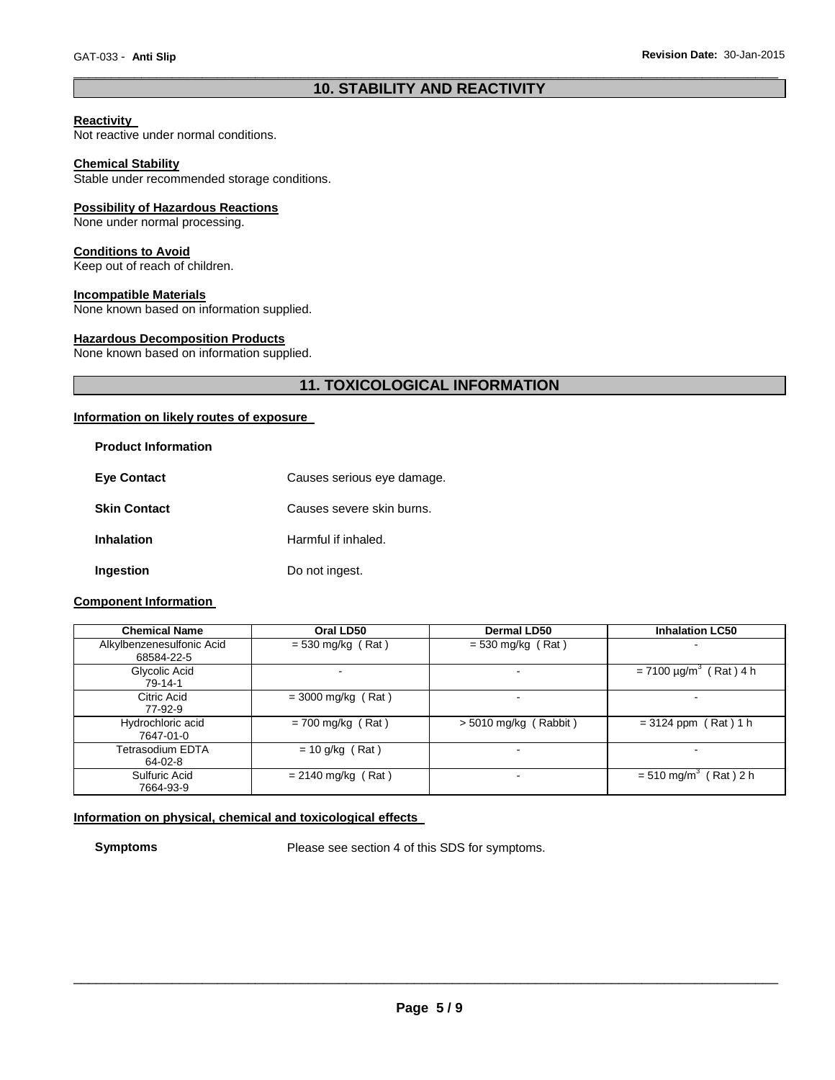# \_\_\_\_\_\_\_\_\_\_\_\_\_\_\_\_\_\_\_\_\_\_\_\_\_\_\_\_\_\_\_\_\_\_\_\_\_\_\_\_\_\_\_\_\_\_\_\_\_\_\_\_\_\_\_\_\_\_\_\_\_\_\_\_\_\_\_\_\_\_\_\_\_\_\_\_\_\_\_\_\_\_\_\_\_\_\_\_\_\_\_\_\_ **10. STABILITY AND REACTIVITY**

# **Reactivity**

Not reactive under normal conditions.

#### **Chemical Stability**

Stable under recommended storage conditions.

#### **Possibility of Hazardous Reactions**

None under normal processing.

# **Conditions to Avoid**

Keep out of reach of children.

### **Incompatible Materials**

None known based on information supplied.

# **Hazardous Decomposition Products**

None known based on information supplied.

# **11. TOXICOLOGICAL INFORMATION**

#### **Information on likely routes of exposure**

| <b>Product Information</b> |                            |
|----------------------------|----------------------------|
| <b>Eye Contact</b>         | Causes serious eye damage. |
| <b>Skin Contact</b>        | Causes severe skin burns.  |
| <b>Inhalation</b>          | Harmful if inhaled.        |
| Ingestion                  | Do not ingest.             |

# **Component Information**

| <b>Chemical Name</b>                    | Oral LD50            | Dermal LD50                 | <b>Inhalation LC50</b>                   |
|-----------------------------------------|----------------------|-----------------------------|------------------------------------------|
| Alkylbenzenesulfonic Acid<br>68584-22-5 | $= 530$ mg/kg (Rat)  | $=$ 530 mg/kg (Rat)         |                                          |
| Glycolic Acid<br>79-14-1                |                      | -                           | $= 7100 \mu g/m^{3}$<br>$(Rat)$ 4 h      |
| Citric Acid<br>77-92-9                  | $=$ 3000 mg/kg (Rat) | $\blacksquare$              |                                          |
| Hydrochloric acid<br>7647-01-0          | $= 700$ mg/kg (Rat)  | $> 5010$ mg/kg (<br>Rabbit) | $= 3124$ ppm (Rat) 1 h                   |
| Tetrasodium EDTA<br>64-02-8             | $= 10$ g/kg (Rat)    | $\sim$                      | $\overline{\phantom{0}}$                 |
| Sulfuric Acid<br>7664-93-9              | $= 2140$ mg/kg (Rat) | $\overline{\phantom{a}}$    | $(Rat)$ 2 h<br>$= 510$ mg/m <sup>3</sup> |

# **Information on physical, chemical and toxicological effects**

**Symptoms** Please see section 4 of this SDS for symptoms.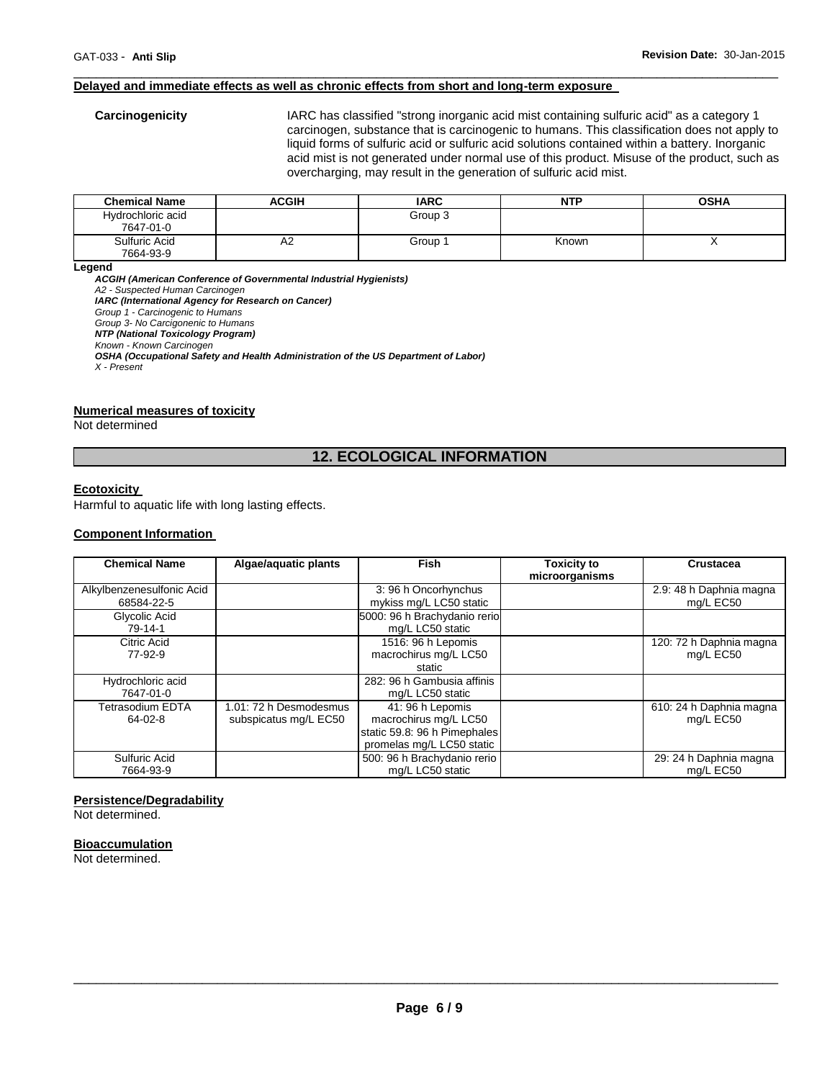#### **Delayed and immediate effects as well as chronic effects from short and long-term exposure**

**Carcinogenicity** IARC has classified "strong inorganic acid mist containing sulfuric acid" as a category 1 carcinogen, substance that is carcinogenic to humans. This classification does not apply to liquid forms of sulfuric acid or sulfuric acid solutions contained within a battery. Inorganic acid mist is not generated under normal use of this product. Misuse of the product, such as overcharging, may result in the generation of sulfuric acid mist.

| <b>Chemical Name</b>           | ACGIH | <b>IARC</b> | NTP   | <b>OSHA</b> |
|--------------------------------|-------|-------------|-------|-------------|
| Hydrochloric acid<br>7647-01-0 |       | Group 3     |       |             |
| Sulfuric Acid<br>7664-93-9     | Αź    | Group 1     | Known |             |

\_\_\_\_\_\_\_\_\_\_\_\_\_\_\_\_\_\_\_\_\_\_\_\_\_\_\_\_\_\_\_\_\_\_\_\_\_\_\_\_\_\_\_\_\_\_\_\_\_\_\_\_\_\_\_\_\_\_\_\_\_\_\_\_\_\_\_\_\_\_\_\_\_\_\_\_\_\_\_\_\_\_\_\_\_\_\_\_\_\_\_\_\_

**Legend** 

*ACGIH (American Conference of Governmental Industrial Hygienists) A2 - Suspected Human Carcinogen IARC (International Agency for Research on Cancer) Group 1 - Carcinogenic to Humans Group 3- No Carcigonenic to Humans NTP (National Toxicology Program) Known - Known Carcinogen OSHA (Occupational Safety and Health Administration of the US Department of Labor) X - Present* 

#### **Numerical measures of toxicity**

Not determined

# **12. ECOLOGICAL INFORMATION**

#### **Ecotoxicity**

Harmful to aquatic life with long lasting effects.

# **Component Information**

| <b>Chemical Name</b>                    | Algae/aquatic plants                            | <b>Fish</b>                                                                                            | <b>Toxicity to</b><br>microorganisms | <b>Crustacea</b>                     |
|-----------------------------------------|-------------------------------------------------|--------------------------------------------------------------------------------------------------------|--------------------------------------|--------------------------------------|
| Alkylbenzenesulfonic Acid<br>68584-22-5 |                                                 | 3:96 h Oncorhynchus<br>mykiss mg/L LC50 static                                                         |                                      | 2.9: 48 h Daphnia magna<br>mg/L EC50 |
| Glycolic Acid<br>79-14-1                |                                                 | 5000: 96 h Brachydanio rerio<br>mg/L LC50 static                                                       |                                      |                                      |
| Citric Acid<br>77-92-9                  |                                                 | 1516: 96 h Lepomis<br>macrochirus mg/L LC50<br>static                                                  |                                      | 120: 72 h Daphnia magna<br>mg/L EC50 |
| Hydrochloric acid<br>7647-01-0          |                                                 | 282: 96 h Gambusia affinis<br>mg/L LC50 static                                                         |                                      |                                      |
| Tetrasodium EDTA<br>64-02-8             | 1.01: 72 h Desmodesmus<br>subspicatus mg/L EC50 | 41: 96 h Lepomis<br>macrochirus mg/L LC50<br>static 59.8: 96 h Pimephales<br>promelas mg/L LC50 static |                                      | 610: 24 h Daphnia magna<br>mg/L EC50 |
| Sulfuric Acid<br>7664-93-9              |                                                 | 500: 96 h Brachydanio rerio<br>mg/L LC50 static                                                        |                                      | 29: 24 h Daphnia magna<br>ma/L EC50  |

#### **Persistence/Degradability**

Not determined.

#### **Bioaccumulation**

Not determined.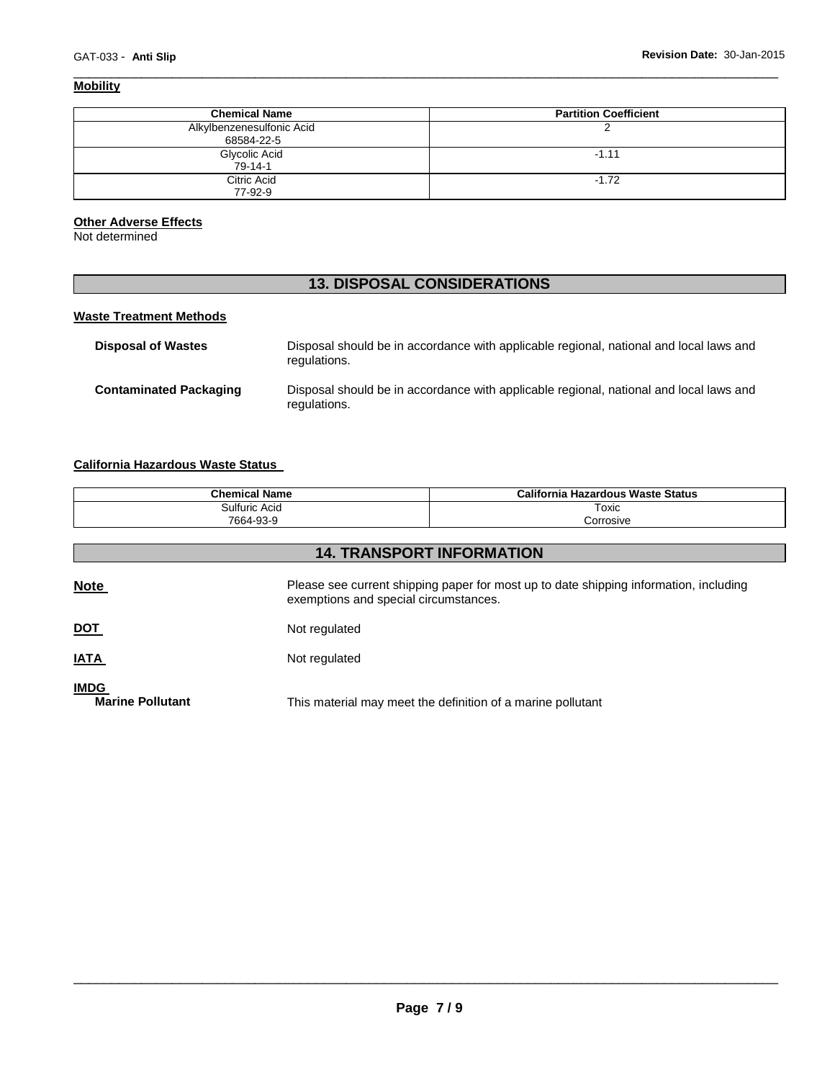# **Mobility**

| <b>Chemical Name</b>                    | <b>Partition Coefficient</b> |
|-----------------------------------------|------------------------------|
| Alkylbenzenesulfonic Acid<br>68584-22-5 |                              |
| Glycolic Acid<br>$79 - 14 - 1$          | $-1.11$                      |
| Citric Acid<br>77-92-9                  | $-1.72$                      |

\_\_\_\_\_\_\_\_\_\_\_\_\_\_\_\_\_\_\_\_\_\_\_\_\_\_\_\_\_\_\_\_\_\_\_\_\_\_\_\_\_\_\_\_\_\_\_\_\_\_\_\_\_\_\_\_\_\_\_\_\_\_\_\_\_\_\_\_\_\_\_\_\_\_\_\_\_\_\_\_\_\_\_\_\_\_\_\_\_\_\_\_\_

### **Other Adverse Effects**

Not determined

# **13. DISPOSAL CONSIDERATIONS**

# **Waste Treatment Methods**

| <b>Disposal of Wastes</b>     | Disposal should be in accordance with applicable regional, national and local laws and<br>regulations. |
|-------------------------------|--------------------------------------------------------------------------------------------------------|
| <b>Contaminated Packaging</b> | Disposal should be in accordance with applicable regional, national and local laws and<br>regulations. |

# **California Hazardous Waste Status**

| <b>Chemical Name</b> | California<br><b>Hazardous Waste Status</b> |
|----------------------|---------------------------------------------|
| Sulfuric Acid        | Toxic                                       |
| 7664-93-9            | ∴orrosive                                   |

| <b>14. TRANSPORT INFORMATION</b>       |                                                                                                                                |  |  |  |
|----------------------------------------|--------------------------------------------------------------------------------------------------------------------------------|--|--|--|
| <b>Note</b>                            | Please see current shipping paper for most up to date shipping information, including<br>exemptions and special circumstances. |  |  |  |
| <b>DOT</b>                             | Not regulated                                                                                                                  |  |  |  |
| <b>IATA</b>                            | Not regulated                                                                                                                  |  |  |  |
| <b>IMDG</b><br><b>Marine Pollutant</b> | This material may meet the definition of a marine pollutant                                                                    |  |  |  |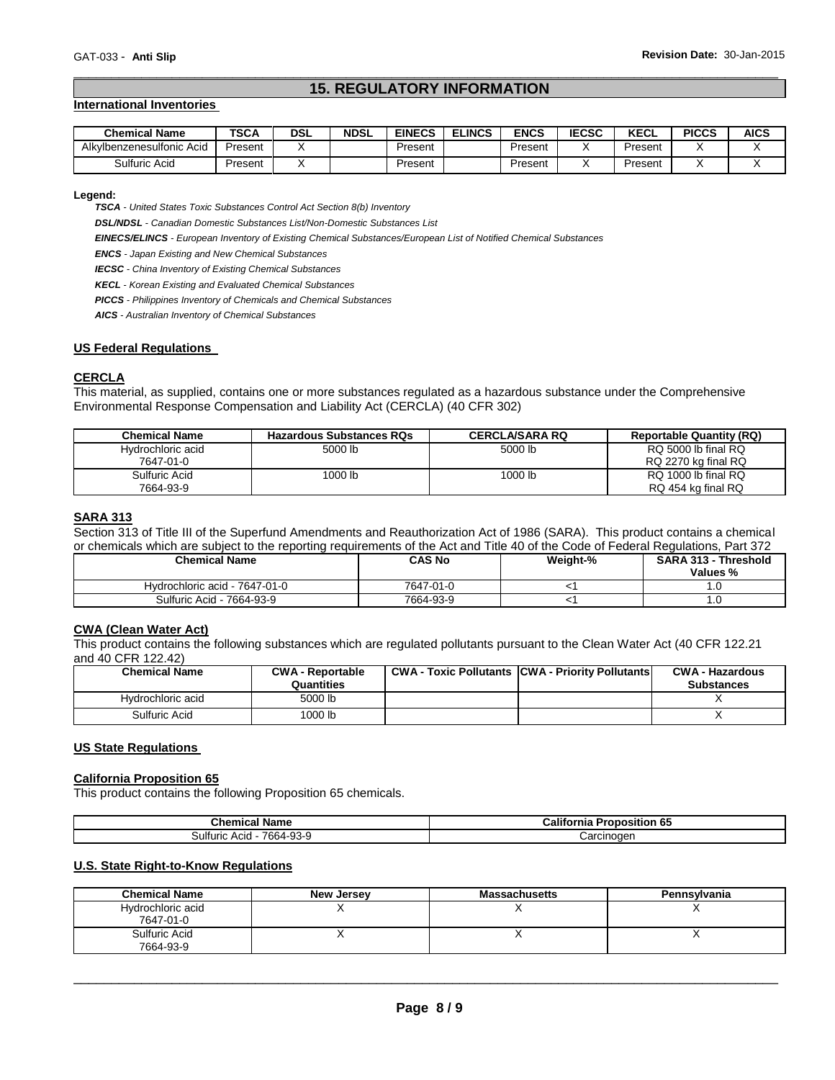# \_\_\_\_\_\_\_\_\_\_\_\_\_\_\_\_\_\_\_\_\_\_\_\_\_\_\_\_\_\_\_\_\_\_\_\_\_\_\_\_\_\_\_\_\_\_\_\_\_\_\_\_\_\_\_\_\_\_\_\_\_\_\_\_\_\_\_\_\_\_\_\_\_\_\_\_\_\_\_\_\_\_\_\_\_\_\_\_\_\_\_\_\_ **15. REGULATORY INFORMATION**

#### **International Inventories**

| <b>Chemical Name</b>      | TSCA    | DSL | <b>NDSL</b> | <b>EINECS</b> | <b>ELINCS</b> | ENCS    | <b>IECSC</b> | <b>KECL</b> | <b>PICCS</b> | <b>AICS</b> |
|---------------------------|---------|-----|-------------|---------------|---------------|---------|--------------|-------------|--------------|-------------|
| Alkylbenzenesulfonic Acid | Present |     |             | Present       |               | Present |              | Present     |              |             |
| Sulfuric Acid             | Present |     |             | Present       |               | Present |              | Present     |              |             |

#### **Legend:**

*TSCA - United States Toxic Substances Control Act Section 8(b) Inventory* 

*DSL/NDSL - Canadian Domestic Substances List/Non-Domestic Substances List* 

*EINECS/ELINCS - European Inventory of Existing Chemical Substances/European List of Notified Chemical Substances* 

*ENCS - Japan Existing and New Chemical Substances* 

*IECSC - China Inventory of Existing Chemical Substances* 

*KECL - Korean Existing and Evaluated Chemical Substances* 

*PICCS - Philippines Inventory of Chemicals and Chemical Substances* 

*AICS - Australian Inventory of Chemical Substances* 

#### **US Federal Regulations**

#### **CERCLA**

This material, as supplied, contains one or more substances regulated as a hazardous substance under the Comprehensive Environmental Response Compensation and Liability Act (CERCLA) (40 CFR 302)

| <b>Chemical Name</b> | <b>Hazardous Substances RQs</b> | <b>CERCLA/SARA RQ</b> | <b>Reportable Quantity (RQ)</b> |
|----------------------|---------------------------------|-----------------------|---------------------------------|
| Hydrochloric acid    | 5000 lb                         | 5000 lb               | RQ 5000 lb final RQ             |
| 7647-01-0            |                                 |                       | RQ 2270 kg final RQ             |
| Sulfuric Acid        | 1000 lb                         | 1000 lb               | RQ 1000 lb final RQ             |
| 7664-93-9            |                                 |                       | RQ 454 kg final RQ              |

#### **SARA 313**

Section 313 of Title III of the Superfund Amendments and Reauthorization Act of 1986 (SARA). This product contains a chemical or chemicals which are subject to the reporting requirements of the Act and Title 40 of the Code of Federal Regulations, Part 372

| <b>Chemical Name</b>          | CAS No    | Weight-% | SARA 313 - Threshold<br>Values % |
|-------------------------------|-----------|----------|----------------------------------|
| Hydrochloric acid - 7647-01-0 | 7647-01-0 |          |                                  |
| Sulfuric Acid - 7664-93-9     | 7664-93-9 |          | ں.                               |

#### **CWA (Clean Water Act)**

This product contains the following substances which are regulated pollutants pursuant to the Clean Water Act (40 CFR 122.21 and 40 CFR 122.42)

| <b>Chemical Name</b> | <b>CWA - Reportable</b><br>Quantities | <b>CWA - Toxic Pollutants CWA - Priority Pollutants</b> | <b>CWA - Hazardous</b><br><b>Substances</b> |
|----------------------|---------------------------------------|---------------------------------------------------------|---------------------------------------------|
| Hydrochloric acid    | 5000 lb                               |                                                         |                                             |
| Sulfuric Acid        | 1000 lb                               |                                                         |                                             |

#### **US State Regulations**

#### **California Proposition 65**

This product contains the following Proposition 65 chemicals.

| <b>Chemical Name</b>            | California<br>Proposition<br>ነ 65 |  |
|---------------------------------|-----------------------------------|--|
| 3ulfuric ∶<br>7664-93-9<br>Acid | Carcinogen                        |  |

#### **U.S. State Right-to-Know Regulations**

| <b>Chemical Name</b>           | New Jersey | <b>Massachusetts</b> | Pennsylvania |
|--------------------------------|------------|----------------------|--------------|
| Hydrochloric acid<br>7647-01-0 |            |                      |              |
|                                |            |                      |              |
| Sulfuric Acid                  |            |                      |              |
| 7664-93-9                      |            |                      |              |